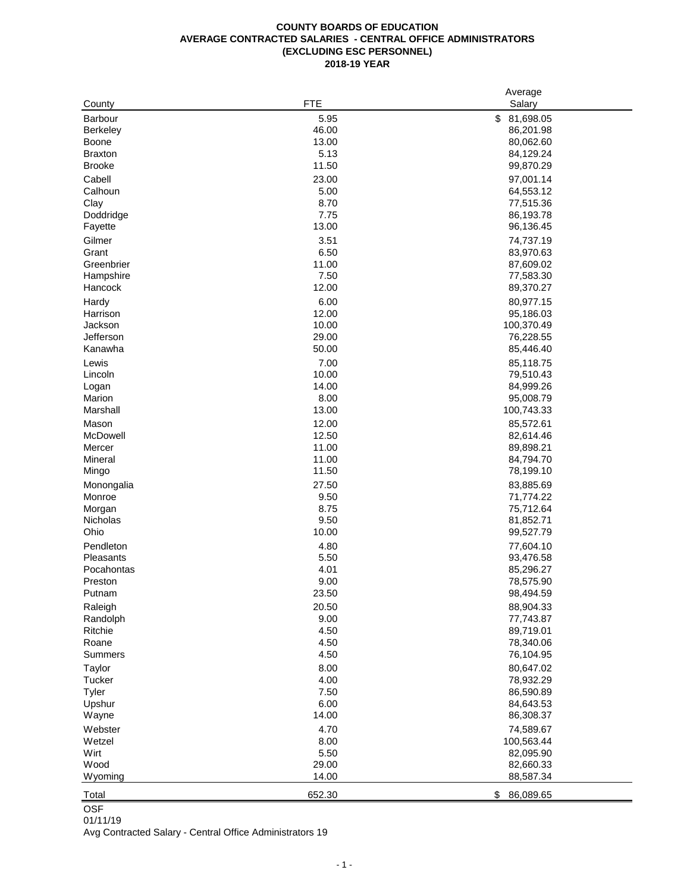## **COUNTY BOARDS OF EDUCATION AVERAGE CONTRACTED SALARIES - CENTRAL OFFICE ADMINISTRATORS (EXCLUDING ESC PERSONNEL) 2018-19 YEAR**

|                      |               | Average                |
|----------------------|---------------|------------------------|
| County               | FTE           | Salary                 |
| Barbour              | 5.95          | \$ 81,698.05           |
| <b>Berkeley</b>      | 46.00         | 86,201.98              |
| Boone                | 13.00         | 80,062.60              |
| <b>Braxton</b>       | 5.13          | 84,129.24              |
| <b>Brooke</b>        | 11.50         | 99,870.29              |
| Cabell               | 23.00         | 97,001.14              |
| Calhoun              | 5.00          | 64,553.12              |
| Clay                 | 8.70          | 77,515.36              |
| Doddridge            | 7.75          | 86,193.78              |
| Fayette              | 13.00         | 96,136.45              |
| Gilmer               | 3.51          | 74,737.19              |
| Grant                | 6.50          | 83,970.63              |
| Greenbrier           | 11.00         | 87,609.02              |
| Hampshire            | 7.50          | 77,583.30              |
| Hancock              | 12.00         | 89,370.27              |
| Hardy                | 6.00          | 80,977.15              |
| Harrison             | 12.00         | 95,186.03              |
| Jackson              | 10.00         | 100,370.49             |
| Jefferson            | 29.00         | 76,228.55              |
| Kanawha              | 50.00         | 85,446.40              |
| Lewis                | 7.00          | 85,118.75              |
| Lincoln              | 10.00         | 79,510.43              |
| Logan                | 14.00         | 84,999.26              |
| Marion               | 8.00          | 95,008.79              |
| Marshall             | 13.00         | 100,743.33             |
| Mason                | 12.00         | 85,572.61              |
| McDowell             | 12.50         | 82,614.46              |
| Mercer               | 11.00         | 89,898.21              |
| Mineral              | 11.00         | 84,794.70              |
| Mingo                | 11.50         | 78,199.10              |
|                      | 27.50         | 83,885.69              |
| Monongalia<br>Monroe | 9.50          | 71,774.22              |
| Morgan               | 8.75          | 75,712.64              |
| Nicholas             | 9.50          | 81,852.71              |
| Ohio                 | 10.00         | 99,527.79              |
| Pendleton            | 4.80          | 77,604.10              |
| Pleasants            | 5.50          | 93,476.58              |
| Pocahontas           | 4.01          | 85,296.27              |
| Preston              | 9.00          | 78,575.90              |
| Putnam               | 23.50         | 98,494.59              |
|                      |               |                        |
| Raleigh              | 20.50<br>9.00 | 88,904.33<br>77,743.87 |
| Randolph<br>Ritchie  |               |                        |
|                      | 4.50          | 89,719.01              |
| Roane<br>Summers     | 4.50<br>4.50  | 78,340.06<br>76,104.95 |
|                      |               |                        |
| Taylor               | 8.00          | 80,647.02              |
| Tucker               | 4.00          | 78,932.29              |
| Tyler                | 7.50          | 86,590.89              |
| Upshur               | 6.00<br>14.00 | 84,643.53<br>86,308.37 |
| Wayne                |               |                        |
| Webster              | 4.70          | 74,589.67              |
| Wetzel               | 8.00          | 100,563.44             |
| Wirt                 | 5.50          | 82,095.90              |
| Wood                 | 29.00         | 82,660.33              |
| Wyoming              | 14.00         | 88,587.34              |
| Total                | 652.30        | \$<br>86,089.65        |

**OSF** 

01/11/19

Avg Contracted Salary - Central Office Administrators 19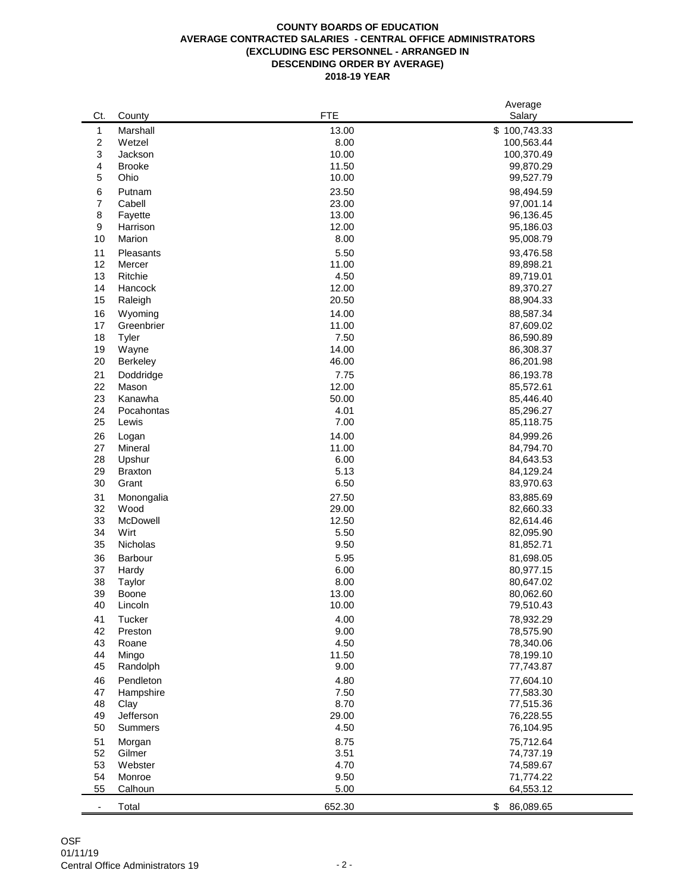## **COUNTY BOARDS OF EDUCATION AVERAGE CONTRACTED SALARIES - CENTRAL OFFICE ADMINISTRATORS (EXCLUDING ESC PERSONNEL - ARRANGED IN DESCENDING ORDER BY AVERAGE) 2018-19 YEAR**

|                          |                |            | Average         |
|--------------------------|----------------|------------|-----------------|
| Ct.                      | County         | <b>FTE</b> | Salary          |
| 1                        | Marshall       | 13.00      | \$100,743.33    |
| 2                        | Wetzel         | 8.00       | 100,563.44      |
| 3                        | Jackson        | 10.00      | 100,370.49      |
| 4                        | <b>Brooke</b>  | 11.50      | 99,870.29       |
|                          |                |            |                 |
| 5                        | Ohio           | 10.00      | 99,527.79       |
| 6                        | Putnam         | 23.50      | 98,494.59       |
| 7                        | Cabell         | 23.00      | 97,001.14       |
| 8                        | Fayette        | 13.00      | 96,136.45       |
| 9                        | Harrison       | 12.00      | 95,186.03       |
| 10                       | Marion         | 8.00       | 95,008.79       |
| 11                       | Pleasants      | 5.50       | 93,476.58       |
| 12                       | Mercer         | 11.00      | 89,898.21       |
| 13                       | Ritchie        | 4.50       | 89,719.01       |
| 14                       | Hancock        | 12.00      | 89,370.27       |
| 15                       | Raleigh        | 20.50      | 88,904.33       |
|                          |                |            |                 |
| 16                       | Wyoming        | 14.00      | 88,587.34       |
| 17                       | Greenbrier     | 11.00      | 87,609.02       |
| 18                       | Tyler          | 7.50       | 86,590.89       |
| 19                       | Wayne          | 14.00      | 86,308.37       |
| 20                       | Berkeley       | 46.00      | 86,201.98       |
| 21                       | Doddridge      | 7.75       | 86,193.78       |
| 22                       | Mason          | 12.00      | 85,572.61       |
| 23                       | Kanawha        | 50.00      | 85,446.40       |
| 24                       | Pocahontas     | 4.01       | 85,296.27       |
| 25                       | Lewis          | 7.00       | 85,118.75       |
| 26                       |                | 14.00      | 84,999.26       |
|                          | Logan          |            |                 |
| 27                       | Mineral        | 11.00      | 84,794.70       |
| 28                       | Upshur         | 6.00       | 84,643.53       |
| 29                       | <b>Braxton</b> | 5.13       | 84,129.24       |
| 30                       | Grant          | 6.50       | 83,970.63       |
| 31                       | Monongalia     | 27.50      | 83,885.69       |
| 32                       | Wood           | 29.00      | 82,660.33       |
| 33                       | McDowell       | 12.50      | 82,614.46       |
| 34                       | Wirt           | 5.50       | 82,095.90       |
| 35                       | Nicholas       | 9.50       | 81,852.71       |
| 36                       | Barbour        | 5.95       | 81,698.05       |
| 37                       | Hardy          | 6.00       | 80,977.15       |
| 38                       | Taylor         | 8.00       | 80,647.02       |
| 39                       | Boone          | 13.00      | 80,062.60       |
|                          |                |            |                 |
| 40                       | Lincoln        | 10.00      | 79,510.43       |
| 41                       | Tucker         | 4.00       | 78,932.29       |
| 42                       | Preston        | 9.00       | 78,575.90       |
| 43                       | Roane          | 4.50       | 78,340.06       |
| 44                       | Mingo          | 11.50      | 78,199.10       |
| 45                       | Randolph       | 9.00       | 77,743.87       |
| 46                       | Pendleton      | 4.80       | 77,604.10       |
| 47                       | Hampshire      | 7.50       | 77,583.30       |
| 48                       | Clay           | 8.70       | 77,515.36       |
| 49                       | Jefferson      | 29.00      | 76,228.55       |
| 50                       | Summers        | 4.50       | 76,104.95       |
|                          |                |            |                 |
| 51                       | Morgan         | 8.75       | 75,712.64       |
| 52                       | Gilmer         | 3.51       | 74,737.19       |
| 53                       | Webster        | 4.70       | 74,589.67       |
| 54                       | Monroe         | 9.50       | 71,774.22       |
| 55                       | Calhoun        | 5.00       | 64,553.12       |
| $\overline{\phantom{a}}$ | Total          | 652.30     | 86,089.65<br>\$ |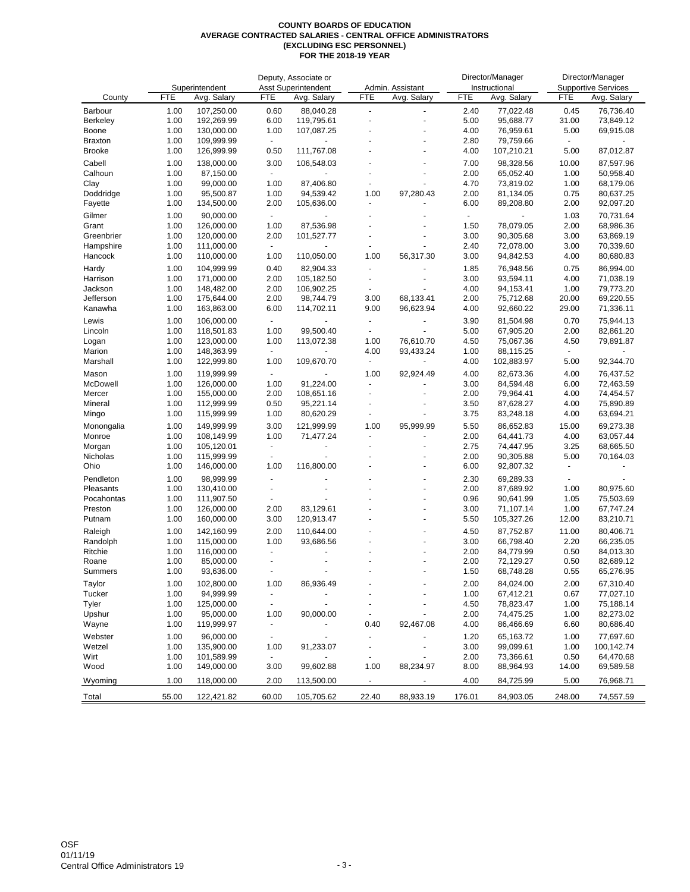## **COUNTY BOARDS OF EDUCATION AVERAGE CONTRACTED SALARIES - CENTRAL OFFICE ADMINISTRATORS (EXCLUDING ESC PERSONNEL) FOR THE 2018-19 YEAR**

|                      |              | Superintendent           |                          | Deputy, Associate or<br><b>Asst Superintendent</b> | Admin. Assistant         |                | Director/Manager<br>Instructional |                         | Director/Manager<br><b>Supportive Services</b> |                        |
|----------------------|--------------|--------------------------|--------------------------|----------------------------------------------------|--------------------------|----------------|-----------------------------------|-------------------------|------------------------------------------------|------------------------|
| County               | <b>FTE</b>   | Avg. Salary              | <b>FTE</b>               | Avg. Salary                                        | <b>FTE</b>               | Avg. Salary    | <b>FTE</b>                        | Avg. Salary             | <b>FTE</b>                                     | Avg. Salary            |
| Barbour              | 1.00         | 107,250.00               | 0.60                     | 88,040.28                                          | $\overline{\phantom{a}}$ | ÷.             | 2.40                              | 77,022.48               | 0.45                                           | 76,736.40              |
| <b>Berkeley</b>      | 1.00         | 192,269.99               | 6.00                     | 119,795.61                                         | $\overline{\phantom{a}}$ | ä,             | 5.00                              | 95,688.77               | 31.00                                          | 73,849.12              |
| Boone                | 1.00         | 130,000.00               | 1.00                     | 107,087.25                                         |                          |                | 4.00                              | 76,959.61               | 5.00                                           | 69,915.08              |
| <b>Braxton</b>       | 1.00         | 109,999.99               | $\blacksquare$           |                                                    |                          |                | 2.80                              | 79,759.66               | $\blacksquare$                                 |                        |
| <b>Brooke</b>        | 1.00         | 126,999.99               | 0.50                     | 111,767.08                                         |                          |                | 4.00                              | 107,210.21              | 5.00                                           | 87,012.87              |
| Cabell               | 1.00         | 138,000.00               | 3.00                     | 106,548.03                                         |                          |                | 7.00                              | 98,328.56               | 10.00                                          | 87,597.96              |
| Calhoun              | 1.00         | 87,150.00                | $\blacksquare$           |                                                    |                          |                | 2.00                              | 65,052.40               | 1.00                                           | 50,958.40              |
| Clay                 | 1.00         | 99,000.00                | 1.00                     | 87,406.80                                          | $\overline{a}$           |                | 4.70                              | 73,819.02               | 1.00                                           | 68,179.06              |
| Doddridge            | 1.00         | 95,500.87                | 1.00                     | 94,539.42                                          | 1.00                     | 97,280.43      | 2.00                              | 81,134.05               | 0.75                                           | 80,637.25              |
| Fayette              | 1.00         | 134,500.00               | 2.00                     | 105,636.00                                         | $\blacksquare$           |                | 6.00                              | 89,208.80               | 2.00                                           | 92,097.20              |
| Gilmer               | 1.00         | 90,000.00                | $\blacksquare$           |                                                    |                          |                | $\overline{\phantom{a}}$          |                         | 1.03                                           | 70,731.64              |
| Grant                | 1.00         | 126,000.00               | 1.00                     | 87,536.98                                          |                          |                | 1.50                              | 78,079.05               | 2.00                                           | 68,986.36              |
| Greenbrier           | 1.00         | 120,000.00               | 2.00                     | 101,527.77                                         | $\overline{a}$           | ä,             | 3.00                              | 90,305.68               | 3.00                                           | 63,869.19              |
| Hampshire<br>Hancock | 1.00<br>1.00 | 111,000.00<br>110,000.00 | $\blacksquare$<br>1.00   | 110,050.00                                         | 1.00                     | 56,317.30      | 2.40<br>3.00                      | 72,078.00<br>94,842.53  | 3.00<br>4.00                                   | 70,339.60<br>80,680.83 |
|                      |              |                          |                          |                                                    |                          |                |                                   |                         |                                                |                        |
| Hardy                | 1.00         | 104,999.99               | 0.40<br>2.00             | 82,904.33                                          |                          |                | 1.85<br>3.00                      | 76,948.56               | 0.75                                           | 86,994.00              |
| Harrison<br>Jackson  | 1.00<br>1.00 | 171,000.00<br>148,482.00 | 2.00                     | 105,182.50<br>106,902.25                           | $\overline{\phantom{a}}$ |                | 4.00                              | 93,594.11<br>94,153.41  | 4.00<br>1.00                                   | 71,038.19<br>79,773.20 |
| Jefferson            | 1.00         | 175,644.00               | 2.00                     | 98.744.79                                          | 3.00                     | 68,133.41      | 2.00                              | 75,712.68               | 20.00                                          | 69,220.55              |
| Kanawha              | 1.00         | 163,863.00               | 6.00                     | 114,702.11                                         | 9.00                     | 96,623.94      | 4.00                              | 92,660.22               | 29.00                                          | 71,336.11              |
| Lewis                | 1.00         | 106,000.00               | $\blacksquare$           |                                                    |                          |                | 3.90                              | 81,504.98               | 0.70                                           | 75,944.13              |
| Lincoln              | 1.00         | 118,501.83               | 1.00                     | 99,500.40                                          | $\blacksquare$           |                | 5.00                              | 67,905.20               | 2.00                                           | 82,861.20              |
| Logan                | 1.00         | 123,000.00               | 1.00                     | 113,072.38                                         | 1.00                     | 76,610.70      | 4.50                              | 75,067.36               | 4.50                                           | 79,891.87              |
| Marion               | 1.00         | 148,363.99               | $\blacksquare$           |                                                    | 4.00                     | 93,433.24      | 1.00                              | 88,115.25               | $\sim$                                         |                        |
| Marshall             | 1.00         | 122,999.80               | 1.00                     | 109,670.70                                         | ٠                        |                | 4.00                              | 102,883.97              | 5.00                                           | 92,344.70              |
| Mason                | 1.00         | 119,999.99               | $\omega$                 |                                                    | 1.00                     | 92,924.49      | 4.00                              | 82,673.36               | 4.00                                           | 76,437.52              |
| McDowell             | 1.00         | 126,000.00               | 1.00                     | 91,224.00                                          |                          |                | 3.00                              | 84,594.48               | 6.00                                           | 72,463.59              |
| Mercer               | 1.00         | 155,000.00               | 2.00                     | 108,651.16                                         |                          |                | 2.00                              | 79,964.41               | 4.00                                           | 74,454.57              |
| Mineral              | 1.00         | 112,999.99               | 0.50                     | 95,221.14                                          | $\overline{\phantom{a}}$ |                | 3.50                              | 87,628.27               | 4.00                                           | 75,890.89              |
| Mingo                | 1.00         | 115,999.99               | 1.00                     | 80,620.29                                          | $\overline{\phantom{a}}$ | ä,             | 3.75                              | 83,248.18               | 4.00                                           | 63,694.21              |
| Monongalia           | 1.00         | 149,999.99               | 3.00                     | 121,999.99                                         | 1.00                     | 95,999.99      | 5.50                              | 86,652.83               | 15.00                                          | 69,273.38              |
| Monroe               | 1.00         | 108,149.99               | 1.00                     | 71,477.24                                          |                          |                | 2.00                              | 64,441.73               | 4.00                                           | 63,057.44              |
| Morgan               | 1.00         | 105,120.01               | $\blacksquare$           | ٠                                                  |                          |                | 2.75                              | 74,447.95               | 3.25                                           | 68,665.50              |
| Nicholas             | 1.00         | 115,999.99               | $\overline{\phantom{a}}$ |                                                    |                          |                | 2.00                              | 90,305.88               | 5.00                                           | 70,164.03              |
| Ohio                 | 1.00         | 146,000.00               | 1.00                     | 116,800.00                                         |                          |                | 6.00                              | 92,807.32               | $\overline{\phantom{a}}$                       |                        |
| Pendleton            | 1.00         | 98,999.99                | $\overline{a}$           |                                                    |                          | ä,             | 2.30                              | 69,289.33               | $\blacksquare$                                 |                        |
| Pleasants            | 1.00         | 130,410.00               | $\blacksquare$           |                                                    |                          |                | 2.00                              | 87,689.92               | 1.00                                           | 80,975.60              |
| Pocahontas           | 1.00         | 111,907.50               | $\blacksquare$           |                                                    |                          | L,             | 0.96                              | 90,641.99               | 1.05                                           | 75,503.69              |
| Preston<br>Putnam    | 1.00<br>1.00 | 126,000.00               | 2.00<br>3.00             | 83,129.61<br>120,913.47                            |                          | $\overline{a}$ | 3.00<br>5.50                      | 71,107.14<br>105,327.26 | 1.00<br>12.00                                  | 67,747.24<br>83,210.71 |
|                      |              | 160,000.00               |                          |                                                    |                          |                |                                   |                         |                                                |                        |
| Raleigh              | 1.00         | 142,160.99               | 2.00<br>1.00             | 110,644.00<br>93,686.56                            |                          |                | 4.50<br>3.00                      | 87,752.87               | 11.00                                          | 80,406.71              |
| Randolph<br>Ritchie  | 1.00<br>1.00 | 115,000.00<br>116,000.00 | $\overline{\phantom{a}}$ |                                                    |                          |                | 2.00                              | 66,798.40<br>84,779.99  | 2.20<br>0.50                                   | 66,235.05<br>84,013.30 |
| Roane                | 1.00         | 85,000.00                |                          |                                                    |                          |                | 2.00                              | 72,129.27               | 0.50                                           | 82,689.12              |
| Summers              | 1.00         | 93,636.00                |                          |                                                    |                          |                | 1.50                              | 68,748.28               | 0.55                                           | 65,276.95              |
| Taylor               | 1.00         | 102,800.00               | 1.00                     | 86,936.49                                          |                          |                | 2.00                              | 84,024.00               | 2.00                                           | 67,310.40              |
| Tucker               | 1.00         | 94,999.99                | $\overline{\phantom{a}}$ |                                                    | $\blacksquare$           |                | 1.00                              | 67,412.21               | 0.67                                           | 77,027.10              |
| Tyler                | 1.00         | 125,000.00               | $\overline{\phantom{a}}$ |                                                    |                          |                | 4.50                              | 78,823.47               | 1.00                                           | 75,188.14              |
| Upshur               | 1.00         | 95,000.00                | 1.00                     | 90,000.00                                          | $\overline{\phantom{a}}$ |                | 2.00                              | 74,475.25               | 1.00                                           | 82,273.02              |
| Wayne                | 1.00         | 119,999.97               | $\overline{\phantom{a}}$ |                                                    | 0.40                     | 92,467.08      | 4.00                              | 86,466.69               | 6.60                                           | 80,686.40              |
| Webster              | 1.00         | 96,000.00                | $\blacksquare$           |                                                    | $\frac{1}{2}$            |                | 1.20                              | 65,163.72               | 1.00                                           | 77,697.60              |
| Wetzel               | 1.00         | 135,900.00               | 1.00                     | 91,233.07                                          |                          |                | 3.00                              | 99,099.61               | 1.00                                           | 100,142.74             |
| Wirt                 | 1.00         | 101,589.99               | $\overline{\phantom{a}}$ |                                                    |                          |                | 2.00                              | 73,366.61               | 0.50                                           | 64,470.68              |
| Wood                 | 1.00         | 149,000.00               | 3.00                     | 99,602.88                                          | 1.00                     | 88,234.97      | 8.00                              | 88,964.93               | 14.00                                          | 69,589.58              |
| Wyoming              | 1.00         | 118,000.00               | 2.00                     | 113,500.00                                         | $\blacksquare$           |                | 4.00                              | 84,725.99               | 5.00                                           | 76,968.71              |
| Total                | 55.00        | 122,421.82               | 60.00                    | 105,705.62                                         | 22.40                    | 88,933.19      | 176.01                            | 84,903.05               | 248.00                                         | 74,557.59              |